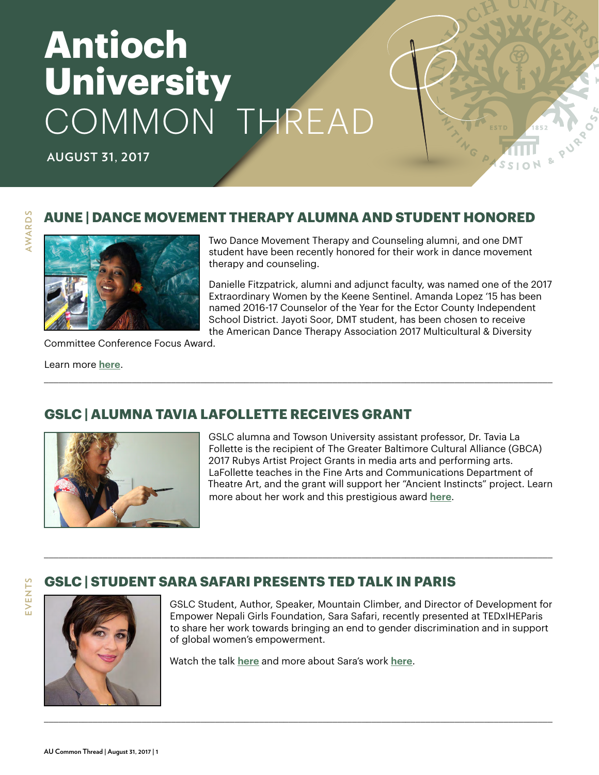# **Antioch University** COMMON THREAD

**AUGUST 31, 2017**

## **AUNE | DANCE MOVEMENT THERAPY ALUMNA AND STUDENT HONORED**

\_\_\_\_\_\_\_\_\_\_\_\_\_\_\_\_\_\_\_\_\_\_\_\_\_\_\_\_\_\_\_\_\_\_\_\_\_\_\_\_\_\_\_\_\_\_\_\_\_\_\_\_\_\_\_\_\_\_\_\_\_\_\_\_\_\_\_\_\_\_\_\_\_\_\_\_\_\_\_\_\_\_\_\_\_\_\_\_\_\_\_\_\_\_\_\_\_\_\_\_\_\_\_\_



Two Dance Movement Therapy and Counseling alumni, and one DMT student have been recently honored for their work in dance movement therapy and counseling.

PURO

Danielle Fitzpatrick, alumni and adjunct faculty, was named one of the 2017 Extraordinary Women by the Keene Sentinel. Amanda Lopez '15 has been named 2016-17 Counselor of the Year for the Ector County Independent School District. Jayoti Soor, DMT student, has been chosen to receive the American Dance Therapy Association 2017 Multicultural & Diversity

Committee Conference Focus Award.

Learn more **[here](https://www.antioch.edu/new-england/2017/08/22/dance-movement-therapy-alumni-student-honored/)**.

**AWARDS**

**AWARDS** 

**EVENTS**

EVENTS

# **GSLC | ALUMNA TAVIA LAFOLLETTE RECEIVES GRANT**



GSLC alumna and Towson University assistant professor, Dr. Tavia La Follette is the recipient of The Greater Baltimore Cultural Alliance (GBCA) 2017 Rubys Artist Project Grants in media arts and performing arts. LaFollette teaches in the Fine Arts and Communications Department of Theatre Art, and the grant will support her "Ancient Instincts" project. Learn more about her work and this prestigious award **[here](http://www.towson.edu/news/2017/2017rubysawards.html#.WW9h2SfmNEU.facebook)**.

## **GSLC | STUDENT SARA SAFARI PRESENTS TED TALK IN PARIS**



GSLC Student, Author, Speaker, Mountain Climber, and Director of Development for Empower Nepali Girls Foundation, Sara Safari, recently presented at TEDxIHEParis to share her work towards bringing an end to gender discrimination and in support of global women's empowerment.

Watch the talk **[here](https://www.youtube.com/watch?v=iJZ8kpvydt8&feature=youtu.be)** and more about Sara's work **[here](http://www.sarasafari.com/)**.

\_\_\_\_\_\_\_\_\_\_\_\_\_\_\_\_\_\_\_\_\_\_\_\_\_\_\_\_\_\_\_\_\_\_\_\_\_\_\_\_\_\_\_\_\_\_\_\_\_\_\_\_\_\_\_\_\_\_\_\_\_\_\_\_\_\_\_\_\_\_\_\_\_\_\_\_\_\_\_\_\_\_\_\_\_\_\_\_\_\_\_\_\_\_\_\_\_\_\_\_\_\_\_\_

\_\_\_\_\_\_\_\_\_\_\_\_\_\_\_\_\_\_\_\_\_\_\_\_\_\_\_\_\_\_\_\_\_\_\_\_\_\_\_\_\_\_\_\_\_\_\_\_\_\_\_\_\_\_\_\_\_\_\_\_\_\_\_\_\_\_\_\_\_\_\_\_\_\_\_\_\_\_\_\_\_\_\_\_\_\_\_\_\_\_\_\_\_\_\_\_\_\_\_\_\_\_\_\_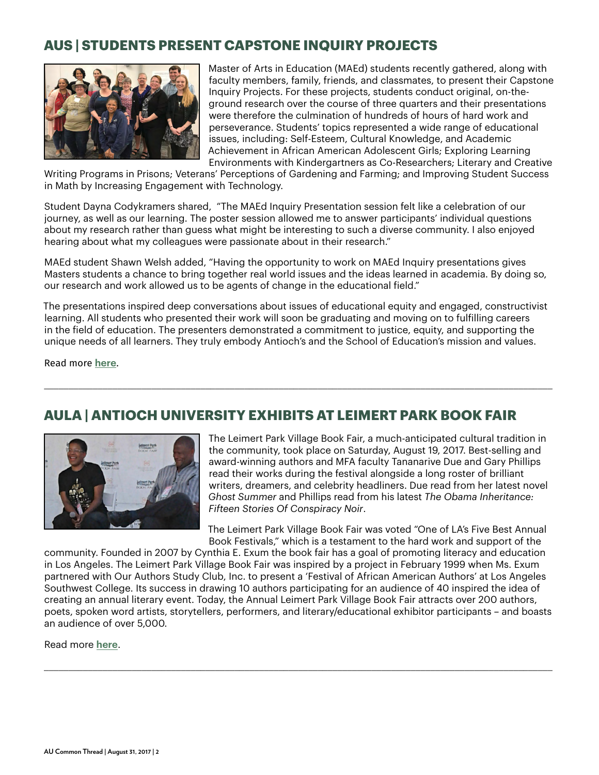# **AUS | STUDENTS PRESENT CAPSTONE INQUIRY PROJECTS**



Master of Arts in Education (MAEd) students recently gathered, along with faculty members, family, friends, and classmates, to present their Capstone Inquiry Projects. For these projects, students conduct original, on-theground research over the course of three quarters and their presentations were therefore the culmination of hundreds of hours of hard work and perseverance. Students' topics represented a wide range of educational issues, including: Self-Esteem, Cultural Knowledge, and Academic Achievement in African American Adolescent Girls; Exploring Learning Environments with Kindergartners as Co-Researchers; Literary and Creative

Writing Programs in Prisons; Veterans' Perceptions of Gardening and Farming; and Improving Student Success in Math by Increasing Engagement with Technology.

Student Dayna Codykramers shared, "The MAEd Inquiry Presentation session felt like a celebration of our journey, as well as our learning. The poster session allowed me to answer participants' individual questions about my research rather than guess what might be interesting to such a diverse community. I also enjoyed hearing about what my colleagues were passionate about in their research."

MAEd student Shawn Welsh added, "Having the opportunity to work on MAEd Inquiry presentations gives Masters students a chance to bring together real world issues and the ideas learned in academia. By doing so, our research and work allowed us to be agents of change in the educational field."

The presentations inspired deep conversations about issues of educational equity and engaged, constructivist learning. All students who presented their work will soon be graduating and moving on to fulfilling careers in the field of education. The presenters demonstrated a commitment to justice, equity, and supporting the unique needs of all learners. They truly embody Antioch's and the School of Education's mission and values.

\_\_\_\_\_\_\_\_\_\_\_\_\_\_\_\_\_\_\_\_\_\_\_\_\_\_\_\_\_\_\_\_\_\_\_\_\_\_\_\_\_\_\_\_\_\_\_\_\_\_\_\_\_\_\_\_\_\_\_\_\_\_\_\_\_\_\_\_\_\_\_\_\_\_\_\_\_\_\_\_\_\_\_\_\_\_\_\_\_\_\_\_\_\_\_\_\_\_\_\_\_\_\_\_

Read more **[here](https://www.antioch.edu/seattle/2017/07/25/maed-inquiry-students-shine/)**.

# **AULA | ANTIOCH UNIVERSITY EXHIBITS AT LEIMERT PARK BOOK FAIR**



The Leimert Park Village Book Fair, a much-anticipated cultural tradition in the community, took place on Saturday, August 19, 2017. Best-selling and award-winning authors and MFA faculty Tananarive Due and Gary Phillips read their works during the festival alongside a long roster of brilliant writers, dreamers, and celebrity headliners. Due read from her latest novel *Ghost Summer* and Phillips read from his latest *The Obama Inheritance: Fifteen Stories Of Conspiracy Noir*.

The Leimert Park Village Book Fair was voted "One of LA's Five Best Annual Book Festivals," which is a testament to the hard work and support of the

community. Founded in 2007 by Cynthia E. Exum the book fair has a goal of promoting literacy and education in Los Angeles. The Leimert Park Village Book Fair was inspired by a project in February 1999 when Ms. Exum partnered with Our Authors Study Club, Inc. to present a 'Festival of African American Authors' at Los Angeles Southwest College. Its success in drawing 10 authors participating for an audience of 40 inspired the idea of creating an annual literary event. Today, the Annual Leimert Park Village Book Fair attracts over 200 authors, poets, spoken word artists, storytellers, performers, and literary/educational exhibitor participants – and boasts an audience of over 5,000.

\_\_\_\_\_\_\_\_\_\_\_\_\_\_\_\_\_\_\_\_\_\_\_\_\_\_\_\_\_\_\_\_\_\_\_\_\_\_\_\_\_\_\_\_\_\_\_\_\_\_\_\_\_\_\_\_\_\_\_\_\_\_\_\_\_\_\_\_\_\_\_\_\_\_\_\_\_\_\_\_\_\_\_\_\_\_\_\_\_\_\_\_\_\_\_\_\_\_\_\_\_\_\_\_

Read more **[here](https://www.antioch.edu/los-angeles/2017/08/22/antioch-university-exhibits-leimert-park-village-book-fair/)**.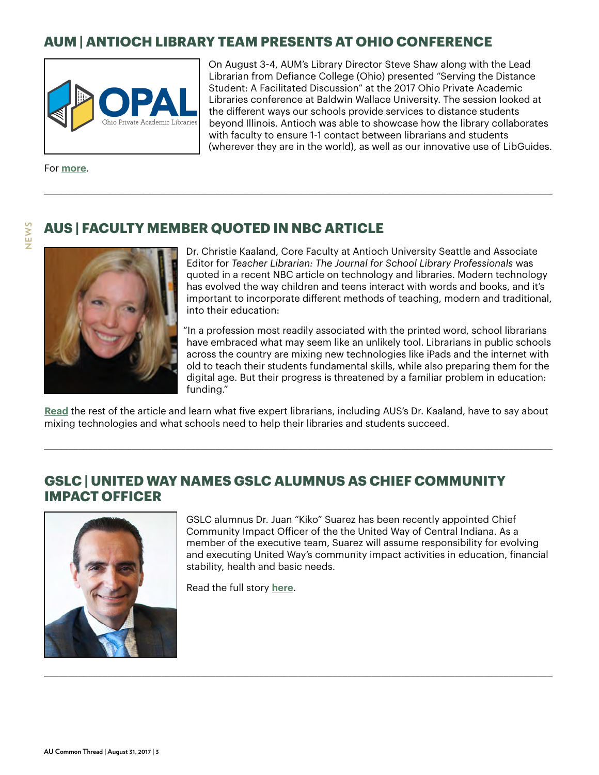# **AUM | ANTIOCH LIBRARY TEAM PRESENTS AT OHIO CONFERENCE**



On August 3-4, AUM's Library Director Steve Shaw along with the Lead Librarian from Defiance College (Ohio) presented "Serving the Distance Student: A Facilitated Discussion" at the 2017 Ohio Private Academic Libraries conference at Baldwin Wallace University. The session looked at the different ways our schools provide services to distance students beyond Illinois. Antioch was able to showcase how the library collaborates with faculty to ensure 1-1 contact between librarians and students (wherever they are in the world), as well as our innovative use of LibGuides.

For **[more](http://opal-libraries.org/)**.

**NEWS**

## **AUS | FACULTY MEMBER QUOTED IN NBC ARTICLE**



Dr. Christie Kaaland, Core Faculty at Antioch University Seattle and Associate Editor for *Teacher Librarian: The Journal for School Library Professionals* was quoted in a recent NBC article on technology and libraries. Modern technology has evolved the way children and teens interact with words and books, and it's important to incorporate different methods of teaching, modern and traditional, into their education:

"In a profession most readily associated with the printed word, school librarians have embraced what may seem like an unlikely tool. Librarians in public schools across the country are mixing new technologies like iPads and the internet with old to teach their students fundamental skills, while also preparing them for the digital age. But their progress is threatened by a familiar problem in education: funding."

**[Read](https://www.antioch.edu/seattle/2017/07/13/auss-dr-christie-kaaland-weighs-librarians-learning-tech/)** the rest of the article and learn what five expert librarians, including AUS's Dr. Kaaland, have to say about mixing technologies and what schools need to help their libraries and students succeed.

\_\_\_\_\_\_\_\_\_\_\_\_\_\_\_\_\_\_\_\_\_\_\_\_\_\_\_\_\_\_\_\_\_\_\_\_\_\_\_\_\_\_\_\_\_\_\_\_\_\_\_\_\_\_\_\_\_\_\_\_\_\_\_\_\_\_\_\_\_\_\_\_\_\_\_\_\_\_\_\_\_\_\_\_\_\_\_\_\_\_\_\_\_\_\_\_\_\_\_\_\_\_\_\_

\_\_\_\_\_\_\_\_\_\_\_\_\_\_\_\_\_\_\_\_\_\_\_\_\_\_\_\_\_\_\_\_\_\_\_\_\_\_\_\_\_\_\_\_\_\_\_\_\_\_\_\_\_\_\_\_\_\_\_\_\_\_\_\_\_\_\_\_\_\_\_\_\_\_\_\_\_\_\_\_\_\_\_\_\_\_\_\_\_\_\_\_\_\_\_\_\_\_\_\_\_\_\_\_

\_\_\_\_\_\_\_\_\_\_\_\_\_\_\_\_\_\_\_\_\_\_\_\_\_\_\_\_\_\_\_\_\_\_\_\_\_\_\_\_\_\_\_\_\_\_\_\_\_\_\_\_\_\_\_\_\_\_\_\_\_\_\_\_\_\_\_\_\_\_\_\_\_\_\_\_\_\_\_\_\_\_\_\_\_\_\_\_\_\_\_\_\_\_\_\_\_\_\_\_\_\_\_\_

#### **GSLC | UNITED WAY NAMES GSLC ALUMNUS AS CHIEF COMMUNITY IMPACT OFFICER**



GSLC alumnus Dr. Juan "Kiko" Suarez has been recently appointed Chief Community Impact Officer of the the United Way of Central Indiana. As a member of the executive team, Suarez will assume responsibility for evolving and executing United Way's community impact activities in education, financial stability, health and basic needs.

Read the full story **[here](http://www.insideindianabusiness.com/story/36048562/united-way-of-central-indiana-names-chief-community-impact-officer-dr-juan-kiko-suarez)**.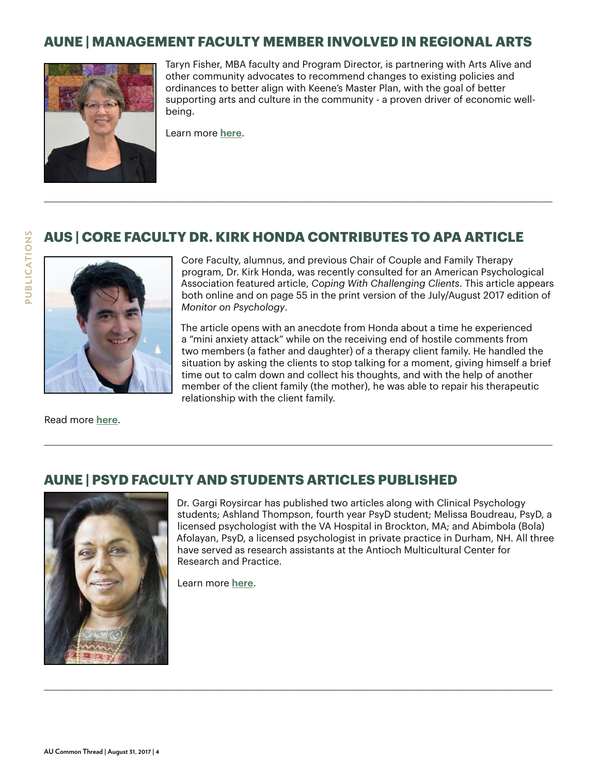## **AUNE | MANAGEMENT FACULTY MEMBER INVOLVED IN REGIONAL ARTS**



Taryn Fisher, MBA faculty and Program Director, is partnering with Arts Alive and other community advocates to recommend changes to existing policies and ordinances to better align with Keene's Master Plan, with the goal of better supporting arts and culture in the community - a proven driver of economic wellbeing.

Learn more **[here](http://monadnockartsalive.org/city-of-keene-arts-policy/)**.

## **AUS | CORE FACULTY DR. KIRK HONDA CONTRIBUTES TO APA ARTICLE**

\_\_\_\_\_\_\_\_\_\_\_\_\_\_\_\_\_\_\_\_\_\_\_\_\_\_\_\_\_\_\_\_\_\_\_\_\_\_\_\_\_\_\_\_\_\_\_\_\_\_\_\_\_\_\_\_\_\_\_\_\_\_\_\_\_\_\_\_\_\_\_\_\_\_\_\_\_\_\_\_\_\_\_\_\_\_\_\_\_\_\_\_\_\_\_\_\_\_\_\_\_\_\_\_

\_\_\_\_\_\_\_\_\_\_\_\_\_\_\_\_\_\_\_\_\_\_\_\_\_\_\_\_\_\_\_\_\_\_\_\_\_\_\_\_\_\_\_\_\_\_\_\_\_\_\_\_\_\_\_\_\_\_\_\_\_\_\_\_\_\_\_\_\_\_\_\_\_\_\_\_\_\_\_\_\_\_\_\_\_\_\_\_\_\_\_\_\_\_\_\_\_\_\_\_\_\_\_\_

\_\_\_\_\_\_\_\_\_\_\_\_\_\_\_\_\_\_\_\_\_\_\_\_\_\_\_\_\_\_\_\_\_\_\_\_\_\_\_\_\_\_\_\_\_\_\_\_\_\_\_\_\_\_\_\_\_\_\_\_\_\_\_\_\_\_\_\_\_\_\_\_\_\_\_\_\_\_\_\_\_\_\_\_\_\_\_\_\_\_\_\_\_\_\_\_\_\_\_\_\_\_\_\_



Core Faculty, alumnus, and previous Chair of Couple and Family Therapy program, Dr. Kirk Honda, was recently consulted for an American Psychological Association featured article, *Coping With Challenging Clients*. This article appears both online and on page 55 in the print version of the July/August 2017 edition of *Monitor on Psychology*.

The article opens with an anecdote from Honda about a time he experienced a "mini anxiety attack" while on the receiving end of hostile comments from two members (a father and daughter) of a therapy client family. He handled the situation by asking the clients to stop talking for a moment, giving himself a brief time out to calm down and collect his thoughts, and with the help of another member of the client family (the mother), he was able to repair his therapeutic relationship with the client family.

Read more **[here](http://www.apa.org/monitor/2017/07-08/challenging-clients.aspx)**.

## **AUNE | PSYD FACULTY AND STUDENTS ARTICLES PUBLISHED**



Dr. Gargi Roysircar has published two articles along with Clinical Psychology students; Ashland Thompson, fourth year PsyD student; Melissa Boudreau, PsyD, a licensed psychologist with the VA Hospital in Brockton, MA; and Abimbola (Bola) Afolayan, PsyD, a licensed psychologist in private practice in Durham, NH. All three have served as research assistants at the Antioch Multicultural Center for Research and Practice.

Learn more **[here](https://www.antioch.edu/new-england/2017/08/22/psyd-faculty-students-articles-published/)**.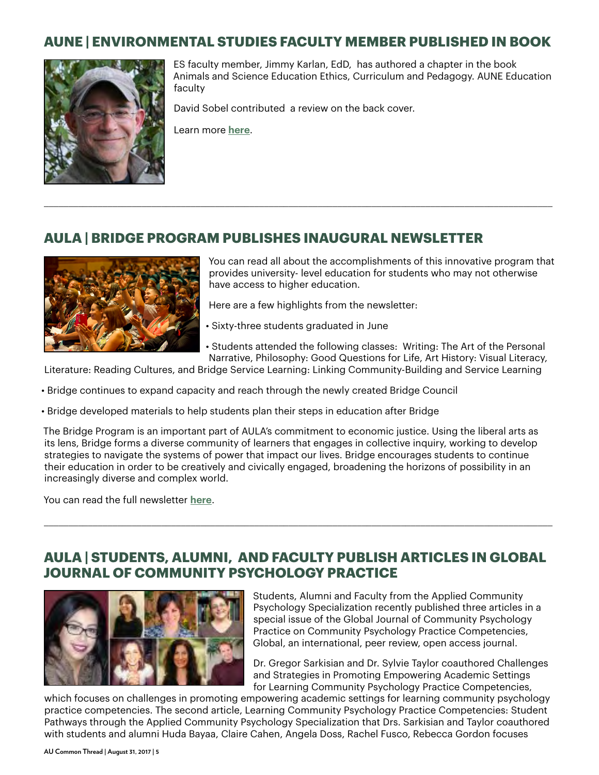## **AUNE | ENVIRONMENTAL STUDIES FACULTY MEMBER PUBLISHED IN BOOK**



ES faculty member, Jimmy Karlan, EdD, has authored a chapter in the book Animals and Science Education Ethics, Curriculum and Pedagogy. AUNE Education faculty

David Sobel contributed a review on the back cover.

\_\_\_\_\_\_\_\_\_\_\_\_\_\_\_\_\_\_\_\_\_\_\_\_\_\_\_\_\_\_\_\_\_\_\_\_\_\_\_\_\_\_\_\_\_\_\_\_\_\_\_\_\_\_\_\_\_\_\_\_\_\_\_\_\_\_\_\_\_\_\_\_\_\_\_\_\_\_\_\_\_\_\_\_\_\_\_\_\_\_\_\_\_\_\_\_\_\_\_\_\_\_\_\_

Learn more **[here](http://www.springer.com/us/book/9783319563749)**.

#### **AULA | BRIDGE PROGRAM PUBLISHES INAUGURAL NEWSLETTER**



You can read all about the accomplishments of this innovative program that provides university- level education for students who may not otherwise have access to higher education.

Here are a few highlights from the newsletter:

- Sixty-three students graduated in June
- Students attended the following classes: Writing: The Art of the Personal Narrative, Philosophy: Good Questions for Life, Art History: Visual Literacy,

Literature: Reading Cultures, and Bridge Service Learning: Linking Community-Building and Service Learning

- Bridge continues to expand capacity and reach through the newly created Bridge Council
- Bridge developed materials to help students plan their steps in education after Bridge

The Bridge Program is an important part of AULA's commitment to economic justice. Using the liberal arts as its lens, Bridge forms a diverse community of learners that engages in collective inquiry, working to develop strategies to navigate the systems of power that impact our lives. Bridge encourages students to continue their education in order to be creatively and civically engaged, broadening the horizons of possibility in an increasingly diverse and complex world.

You can read the full newsletter **[here](http://mailchi.mp/a34a349506df/welcome-to-the-new-bridge-newsletter?e=041d6f26f)**.

#### **AULA | STUDENTS, ALUMNI, AND FACULTY PUBLISH ARTICLES IN GLOBAL JOURNAL OF COMMUNITY PSYCHOLOGY PRACTICE**

\_\_\_\_\_\_\_\_\_\_\_\_\_\_\_\_\_\_\_\_\_\_\_\_\_\_\_\_\_\_\_\_\_\_\_\_\_\_\_\_\_\_\_\_\_\_\_\_\_\_\_\_\_\_\_\_\_\_\_\_\_\_\_\_\_\_\_\_\_\_\_\_\_\_\_\_\_\_\_\_\_\_\_\_\_\_\_\_\_\_\_\_\_\_\_\_\_\_\_\_\_\_\_\_



Students, Alumni and Faculty from the Applied Community Psychology Specialization recently published three articles in a special issue of the Global Journal of Community Psychology Practice on Community Psychology Practice Competencies, Global, an international, peer review, open access journal.

Dr. Gregor Sarkisian and Dr. Sylvie Taylor coauthored Challenges and Strategies in Promoting Empowering Academic Settings for Learning Community Psychology Practice Competencies,

which focuses on challenges in promoting empowering academic settings for learning community psychology practice competencies. The second article, Learning Community Psychology Practice Competencies: Student Pathways through the Applied Community Psychology Specialization that Drs. Sarkisian and Taylor coauthored with students and alumni Huda Bayaa, Claire Cahen, Angela Doss, Rachel Fusco, Rebecca Gordon focuses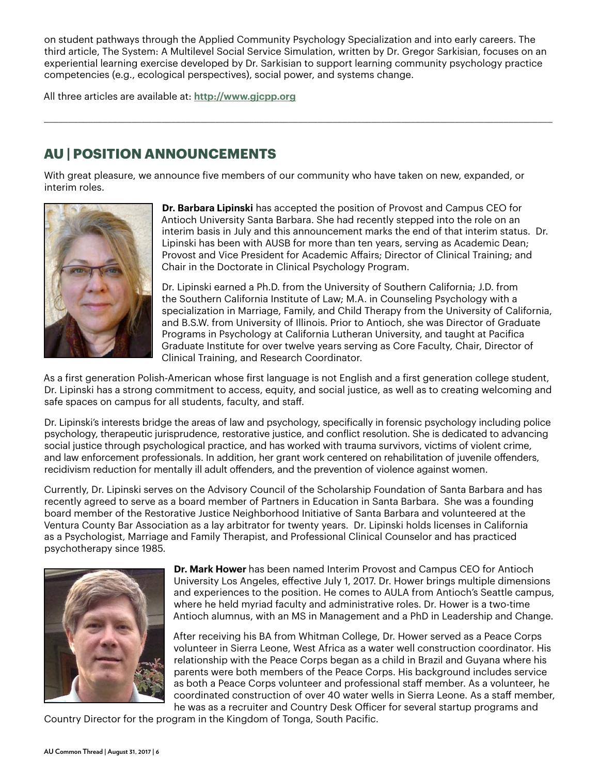on student pathways through the Applied Community Psychology Specialization and into early careers. The third article, The System: A Multilevel Social Service Simulation, written by Dr. Gregor Sarkisian, focuses on an experiential learning exercise developed by Dr. Sarkisian to support learning community psychology practice competencies (e.g., ecological perspectives), social power, and systems change.

\_\_\_\_\_\_\_\_\_\_\_\_\_\_\_\_\_\_\_\_\_\_\_\_\_\_\_\_\_\_\_\_\_\_\_\_\_\_\_\_\_\_\_\_\_\_\_\_\_\_\_\_\_\_\_\_\_\_\_\_\_\_\_\_\_\_\_\_\_\_\_\_\_\_\_\_\_\_\_\_\_\_\_\_\_\_\_\_\_\_\_\_\_\_\_\_\_\_\_\_\_\_\_\_

All three articles are available at: **<http://www.gjcpp.org>**

# **AU | POSITION ANNOUNCEMENTS**

With great pleasure, we announce five members of our community who have taken on new, expanded, or interim roles.



**Dr. Barbara Lipinski** has accepted the position of Provost and Campus CEO for Antioch University Santa Barbara. She had recently stepped into the role on an interim basis in July and this announcement marks the end of that interim status. Dr. Lipinski has been with AUSB for more than ten years, serving as Academic Dean; Provost and Vice President for Academic Affairs; Director of Clinical Training; and Chair in the Doctorate in Clinical Psychology Program.

Dr. Lipinski earned a Ph.D. from the University of Southern California; J.D. from the Southern California Institute of Law; M.A. in Counseling Psychology with a specialization in Marriage, Family, and Child Therapy from the University of California, and B.S.W. from University of Illinois. Prior to Antioch, she was Director of Graduate Programs in Psychology at California Lutheran University, and taught at Pacifica Graduate Institute for over twelve years serving as Core Faculty, Chair, Director of Clinical Training, and Research Coordinator.

As a first generation Polish-American whose first language is not English and a first generation college student, Dr. Lipinski has a strong commitment to access, equity, and social justice, as well as to creating welcoming and safe spaces on campus for all students, faculty, and staff.

Dr. Lipinski's interests bridge the areas of law and psychology, specifically in forensic psychology including police psychology, therapeutic jurisprudence, restorative justice, and conflict resolution. She is dedicated to advancing social justice through psychological practice, and has worked with trauma survivors, victims of violent crime, and law enforcement professionals. In addition, her grant work centered on rehabilitation of juvenile offenders, recidivism reduction for mentally ill adult offenders, and the prevention of violence against women.

Currently, Dr. Lipinski serves on the Advisory Council of the Scholarship Foundation of Santa Barbara and has recently agreed to serve as a board member of Partners in Education in Santa Barbara. She was a founding board member of the Restorative Justice Neighborhood Initiative of Santa Barbara and volunteered at the Ventura County Bar Association as a lay arbitrator for twenty years. Dr. Lipinski holds licenses in California as a Psychologist, Marriage and Family Therapist, and Professional Clinical Counselor and has practiced psychotherapy since 1985.



**Dr. Mark Hower** has been named Interim Provost and Campus CEO for Antioch University Los Angeles, effective July 1, 2017. Dr. Hower brings multiple dimensions and experiences to the position. He comes to AULA from Antioch's Seattle campus, where he held myriad faculty and administrative roles. Dr. Hower is a two-time Antioch alumnus, with an MS in Management and a PhD in Leadership and Change.

After receiving his BA from Whitman College, Dr. Hower served as a Peace Corps volunteer in Sierra Leone, West Africa as a water well construction coordinator. His relationship with the Peace Corps began as a child in Brazil and Guyana where his parents were both members of the Peace Corps. His background includes service as both a Peace Corps volunteer and professional staff member. As a volunteer, he coordinated construction of over 40 water wells in Sierra Leone. As a staff member, he was as a recruiter and Country Desk Officer for several startup programs and

Country Director for the program in the Kingdom of Tonga, South Pacific.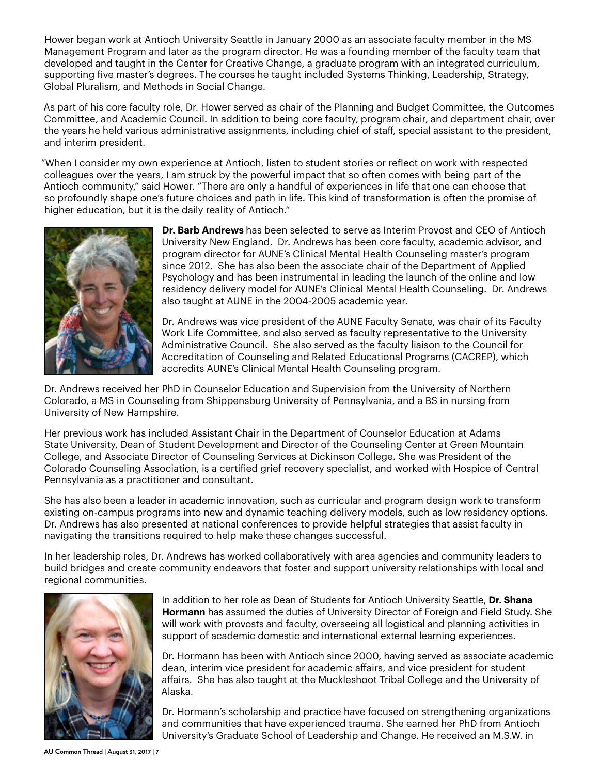Hower began work at Antioch University Seattle in January 2000 as an associate faculty member in the MS Management Program and later as the program director. He was a founding member of the faculty team that developed and taught in the Center for Creative Change, a graduate program with an integrated curriculum, supporting five master's degrees. The courses he taught included Systems Thinking, Leadership, Strategy, Global Pluralism, and Methods in Social Change.

As part of his core faculty role, Dr. Hower served as chair of the Planning and Budget Committee, the Outcomes Committee, and Academic Council. In addition to being core faculty, program chair, and department chair, over the years he held various administrative assignments, including chief of staff, special assistant to the president, and interim president.

"When I consider my own experience at Antioch, listen to student stories or reflect on work with respected colleagues over the years, I am struck by the powerful impact that so often comes with being part of the Antioch community," said Hower. "There are only a handful of experiences in life that one can choose that so profoundly shape one's future choices and path in life. This kind of transformation is often the promise of higher education, but it is the daily reality of Antioch."



**Dr. Barb Andrews** has been selected to serve as Interim Provost and CEO of Antioch University New England. Dr. Andrews has been core faculty, academic advisor, and program director for AUNE's Clinical Mental Health Counseling master's program since 2012. She has also been the associate chair of the Department of Applied Psychology and has been instrumental in leading the launch of the online and low residency delivery model for AUNE's Clinical Mental Health Counseling. Dr. Andrews also taught at AUNE in the 2004-2005 academic year.

Dr. Andrews was vice president of the AUNE Faculty Senate, was chair of its Faculty Work Life Committee, and also served as faculty representative to the University Administrative Council. She also served as the faculty liaison to the Council for Accreditation of Counseling and Related Educational Programs (CACREP), which accredits AUNE's Clinical Mental Health Counseling program.

Dr. Andrews received her PhD in Counselor Education and Supervision from the University of Northern Colorado, a MS in Counseling from Shippensburg University of Pennsylvania, and a BS in nursing from University of New Hampshire.

Her previous work has included Assistant Chair in the Department of Counselor Education at Adams State University, Dean of Student Development and Director of the Counseling Center at Green Mountain College, and Associate Director of Counseling Services at Dickinson College. She was President of the Colorado Counseling Association, is a certified grief recovery specialist, and worked with Hospice of Central Pennsylvania as a practitioner and consultant.

She has also been a leader in academic innovation, such as curricular and program design work to transform existing on-campus programs into new and dynamic teaching delivery models, such as low residency options. Dr. Andrews has also presented at national conferences to provide helpful strategies that assist faculty in navigating the transitions required to help make these changes successful.

In her leadership roles, Dr. Andrews has worked collaboratively with area agencies and community leaders to build bridges and create community endeavors that foster and support university relationships with local and regional communities.



In addition to her role as Dean of Students for Antioch University Seattle, **Dr. Shana Hormann** has assumed the duties of University Director of Foreign and Field Study. She will work with provosts and faculty, overseeing all logistical and planning activities in support of academic domestic and international external learning experiences.

Dr. Hormann has been with Antioch since 2000, having served as associate academic dean, interim vice president for academic affairs, and vice president for student affairs. She has also taught at the Muckleshoot Tribal College and the University of Alaska.

Dr. Hormann's scholarship and practice have focused on strengthening organizations and communities that have experienced trauma. She earned her PhD from Antioch University's Graduate School of Leadership and Change. He received an M.S.W. in